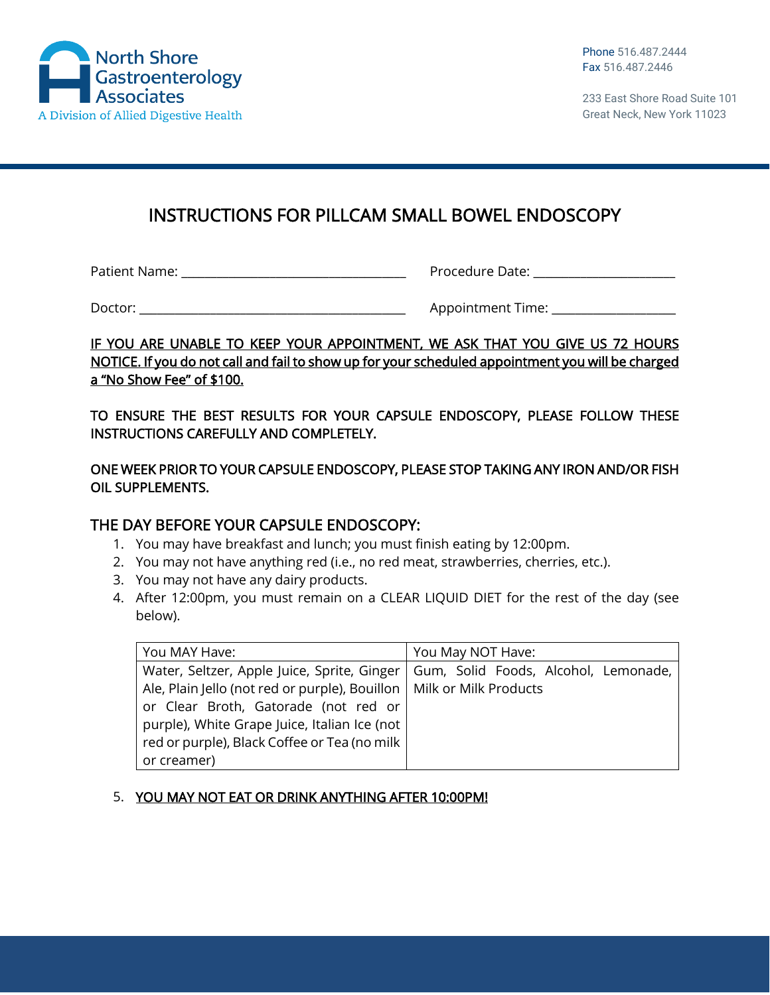

233 East Shore Road Suite 101 Great Neck, New York 11023

# INSTRUCTIONS FOR PILLCAM SMALL BOWEL ENDOSCOPY

Patient Name: \_\_\_\_\_\_\_\_\_\_\_\_\_\_\_\_\_\_\_\_\_\_\_\_\_\_\_\_\_\_\_\_\_\_\_\_\_\_ Procedure Date: \_\_\_\_\_\_\_\_\_\_\_\_\_\_\_\_\_\_\_\_\_\_\_\_

Doctor: \_\_\_\_\_\_\_\_\_\_\_\_\_\_\_\_\_\_\_\_\_\_\_\_\_\_\_\_\_\_\_\_\_\_\_\_\_\_\_\_\_\_\_\_\_ Appointment Time: \_\_\_\_\_\_\_\_\_\_\_\_\_\_\_\_\_\_\_\_\_

### IF YOU ARE UNABLE TO KEEP YOUR APPOINTMENT, WE ASK THAT YOU GIVE US 72 HOURS NOTICE. If you do not call and fail to show up for your scheduled appointment you will be charged a "No Show Fee" of \$100.

TO ENSURE THE BEST RESULTS FOR YOUR CAPSULE ENDOSCOPY, PLEASE FOLLOW THESE INSTRUCTIONS CAREFULLY AND COMPLETELY.

ONE WEEK PRIOR TO YOUR CAPSULE ENDOSCOPY, PLEASE STOP TAKING ANY IRON AND/OR FISH OIL SUPPLEMENTS.

# THE DAY BEFORE YOUR CAPSULE ENDOSCOPY:

- 1. You may have breakfast and lunch; you must finish eating by 12:00pm.
- 2. You may not have anything red (i.e., no red meat, strawberries, cherries, etc.).
- 3. You may not have any dairy products.
- 4. After 12:00pm, you must remain on a CLEAR LIQUID DIET for the rest of the day (see below).

| You MAY Have:                                                          | You May NOT Have:                    |
|------------------------------------------------------------------------|--------------------------------------|
| Water, Seltzer, Apple Juice, Sprite, Ginger                            | Gum, Solid Foods, Alcohol, Lemonade, |
| Ale, Plain Jello (not red or purple), Bouillon   Milk or Milk Products |                                      |
| or Clear Broth, Gatorade (not red or                                   |                                      |
| purple), White Grape Juice, Italian Ice (not                           |                                      |
| red or purple), Black Coffee or Tea (no milk                           |                                      |
| or creamer)                                                            |                                      |

# 5. YOU MAY NOT EAT OR DRINK ANYTHING AFTER 10:00PM!